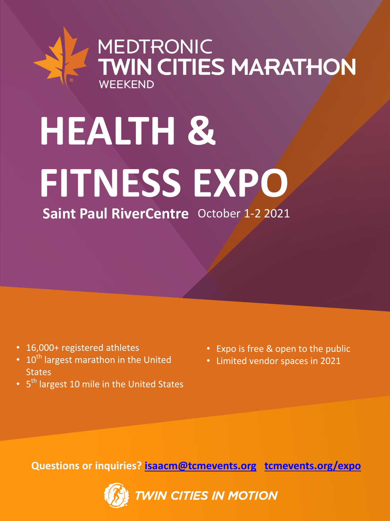## MEDTRONIC<br>TWIN CITIES MARATHON WEEKEND

# **HEALTH & FITNESS EXPO Saint Paul RiverCentre** October 1-2 2021

- 16,000+ registered athletes
- $10^{th}$  largest marathon in the United **States**
- 5<sup>th</sup> largest 10 mile in the United States
- Expo is free & open to the public
- Limited vendor spaces in 2021

**Questions or inquiries? [isaacm@tcmevents.org](mailto:expo@tcmevents.org) [tcmevents.org/expo](http://www.tcmevents.org/expo)**

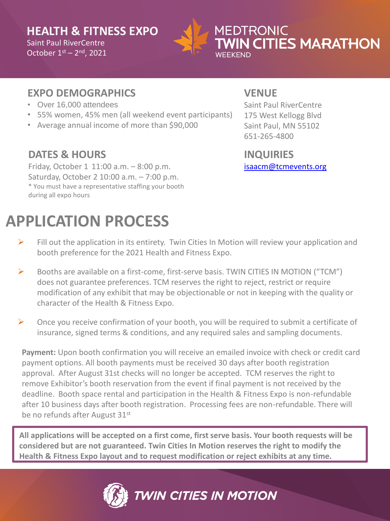#### **HEALTH & FITNESS EXPO** Saint Paul RiverCentre

October  $1<sup>st</sup> - 2<sup>nd</sup>$ , 2021



#### **MEDTRONIC TWIN CITIES MARATHON** WFFKFND

#### **EXPO DEMOGRAPHICS**

- Over 16,000 attendees
- 55% women, 45% men (all weekend event participants)
- Average annual income of more than \$90,000

#### **DATES & HOURS**

Friday, October 1 11:00 a.m. – 8:00 p.m. Saturday, October 2 10:00 a.m. – 7:00 p.m. \* You must have a representative staffing your booth during all expo hours

### **APPLICATION PROCESS**

#### **VENUE**

Saint Paul RiverCentre 175 West Kellogg Blvd Saint Paul, MN 55102 651-265-4800

#### **INQUIRIES**

[isaacm@tcmevents.org](mailto:isaacm@tcmevents.org)

- $\triangleright$  Fill out the application in its entirety. Twin Cities In Motion will review your application and booth preference for the 2021 Health and Fitness Expo.
- ➢ Booths are available on a first-come, first-serve basis. TWIN CITIES IN MOTION ("TCM") does not guarantee preferences. TCM reserves the right to reject, restrict or require modification of any exhibit that may be objectionable or not in keeping with the quality or character of the Health & Fitness Expo.
- $\triangleright$  Once you receive confirmation of your booth, you will be required to submit a certificate of insurance, signed terms & conditions, and any required sales and sampling documents.

**Payment:** Upon booth confirmation you will receive an emailed invoice with check or credit card payment options. All booth payments must be received 30 days after booth registration approval. After August 31st checks will no longer be accepted. TCM reserves the right to remove Exhibitor's booth reservation from the event if final payment is not received by the deadline. Booth space rental and participation in the Health & Fitness Expo is non-refundable after 10 business days after booth registration. Processing fees are non-refundable. There will be no refunds after August 31st

**All applications will be accepted on a first come, first serve basis. Your booth requests will be considered but are not guaranteed. Twin Cities In Motion reserves the right to modify the Health & Fitness Expo layout and to request modification or reject exhibits at any time.** 

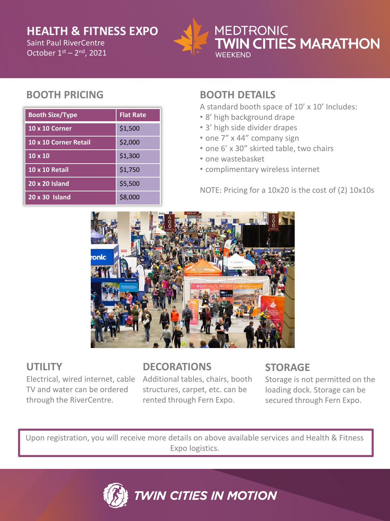#### **HEALTH & FITNESS EXPO**

October  $1<sup>st</sup> - 2<sup>nd</sup>$ , 2021 Saint Paul RiverCentre



#### **MEDTRONIC N CITIES MARATHON** WFFKFND

#### **BOOTH PRICING**

| <b>Booth Size/Type</b> | <b>Flat Rate</b> |
|------------------------|------------------|
| <b>10 x 10 Corner</b>  | \$1,500          |
| 10 x 10 Corner Retail  | \$2,000          |
| $10 \times 10$         | \$1,300          |
| <b>10 x 10 Retail</b>  | \$1,750          |
| 20 x 20 Island         | \$5,500          |
| 20 x 30 Island         | \$8,000          |

#### **BOOTH DETAILS**

A standard booth space of 10' x 10' Includes:

- 8' high background drape
- 3' high side divider drapes
- one 7" x 44" company sign
- one 6' x 30" skirted table, two chairs
- one wastebasket
- complimentary wireless internet

NOTE: Pricing for a 10x20 is the cost of (2) 10x10s



#### **UTILITY**

TV and water can be ordered through the RiverCentre.

#### **DECORATIONS**

Electrical, wired internet, cable Additional tables, chairs, booth structures, carpet, etc. can be rented through Fern Expo.

#### **STORAGE**

Storage is not permitted on the loading dock. Storage can be secured through Fern Expo.

Upon registration, you will receive more details on above available services and Health & Fitness Expo logistics.